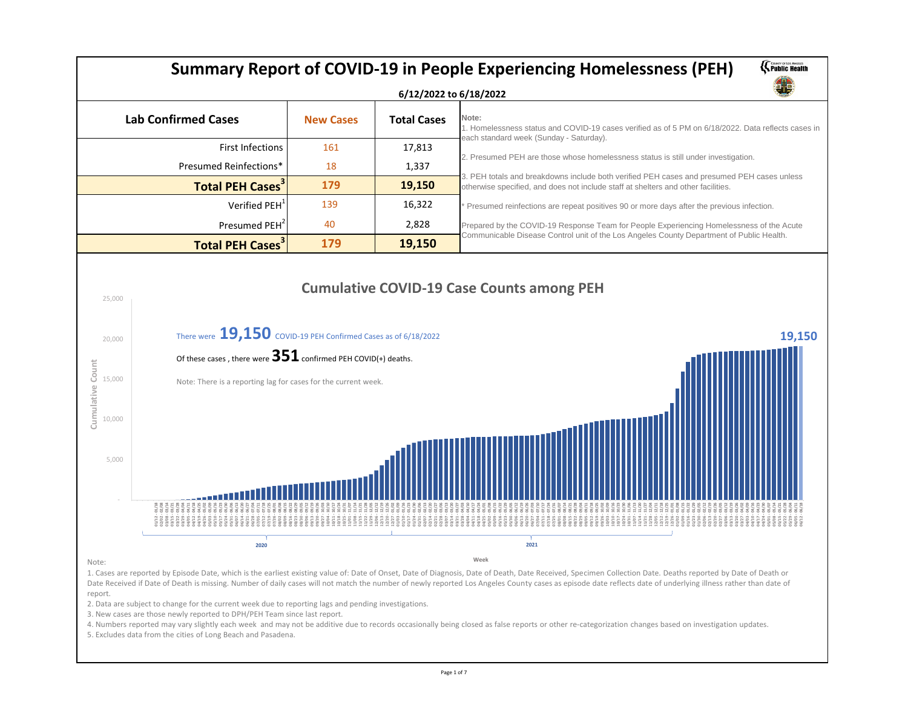# **Summary Report of COVID-19 in People Experiencing Homelessness (PEH)**

## **6/12/2022 to 6/18/2022**

| <b>Lab Confirmed Cases</b>         | <b>New Cases</b> | <b>Total Cases</b> | Note:<br>1. Hon<br>each s |
|------------------------------------|------------------|--------------------|---------------------------|
| <b>First Infections</b>            | 161              | 17,813             |                           |
| <b>Presumed Reinfections*</b>      | 18               | 1,337              | 2. Pres                   |
| <b>Total PEH Cases<sup>3</sup></b> | 179              | 19,150             | 3. PEH<br>otherw          |
| Verified PEH <sup>1</sup>          | 139              | 16,322             | * Pres                    |
| Presumed PEH <sup>2</sup>          | 40               | 2,828              | Prepar                    |
| <b>Total PEH Cases<sup>3</sup></b> | 179              | 19,150             | Comm                      |

### Note:

1. Cases are reported by Episode Date, which is the earliest existing value of: Date of Onset, Date of Diagnosis, Date of Death, Date Received, Specimen Collection Date. Deaths reported by Date of Death or Date Received if Date of Death is missing. Number of daily cases will not match the number of newly reported Los Angeles County cases as episode date reflects date of underlying illness rather than date of report.



2. Data are subject to change for the current week due to reporting lags and pending investigations.

3. New cases are those newly reported to DPH/PEH Team since last report.

4. Numbers reported may vary slightly each week and may not be additive due to records occasionally being closed as false reports or other re-categorization changes based on investigation updates.

5. Excludes data from the cities of Long Beach and Pasadena.

### **Week**



Homelessness status and COVID-19 cases verified as of 5 PM on 6/18/2022. Data reflects cases in ch standard week (Sunday - Saturday).

Presumed PEH are those whose homelessness status is still under investigation.

PEH totals and breakdowns include both verified PEH cases and presumed PEH cases unless nerwise specified, and does not include staff at shelters and other facilities.

Presumed reinfections are repeat positives 90 or more days after the previous infection.

epared by the COVID-19 Response Team for People Experiencing Homelessness of the Acute mmunicable Disease Control unit of the Los Angeles County Department of Public Health.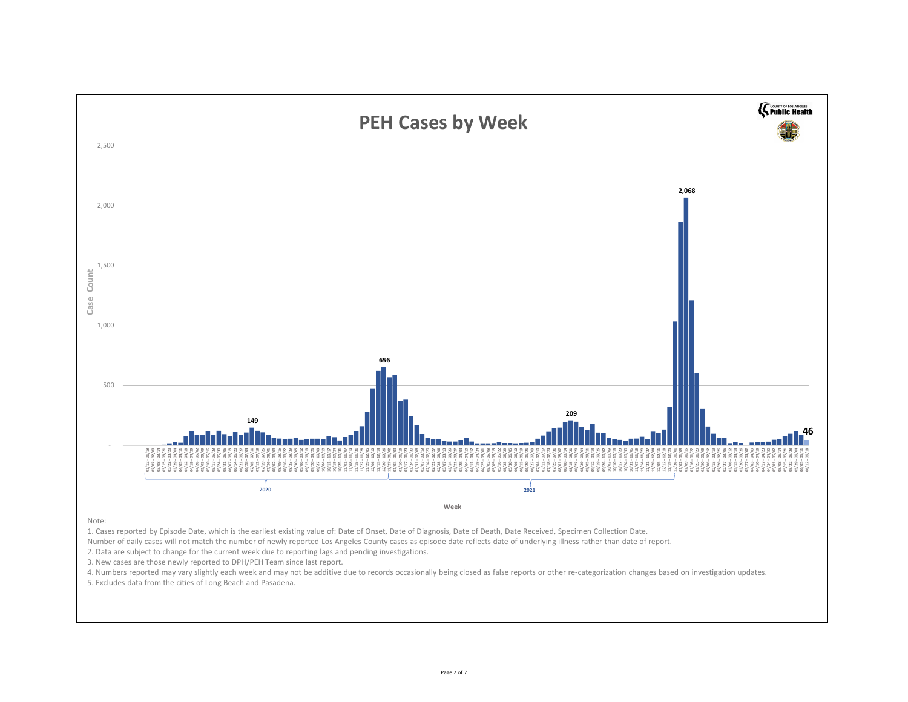### Note:

1. Cases reported by Episode Date, which is the earliest existing value of: Date of Onset, Date of Diagnosis, Date of Death, Date Received, Specimen Collection Date. Number of daily cases will not match the number of newly reported Los Angeles County cases as episode date reflects date of underlying illness rather than date of report. 2. Data are subject to change for the current week due to reporting lags and pending investigations.



3. New cases are those newly reported to DPH/PEH Team since last report.

4. Numbers reported may vary slightly each week and may not be additive due to records occasionally being closed as false reports or other re-categorization changes based on investigation updates. 5. Excludes data from the cities of Long Beach and Pasadena.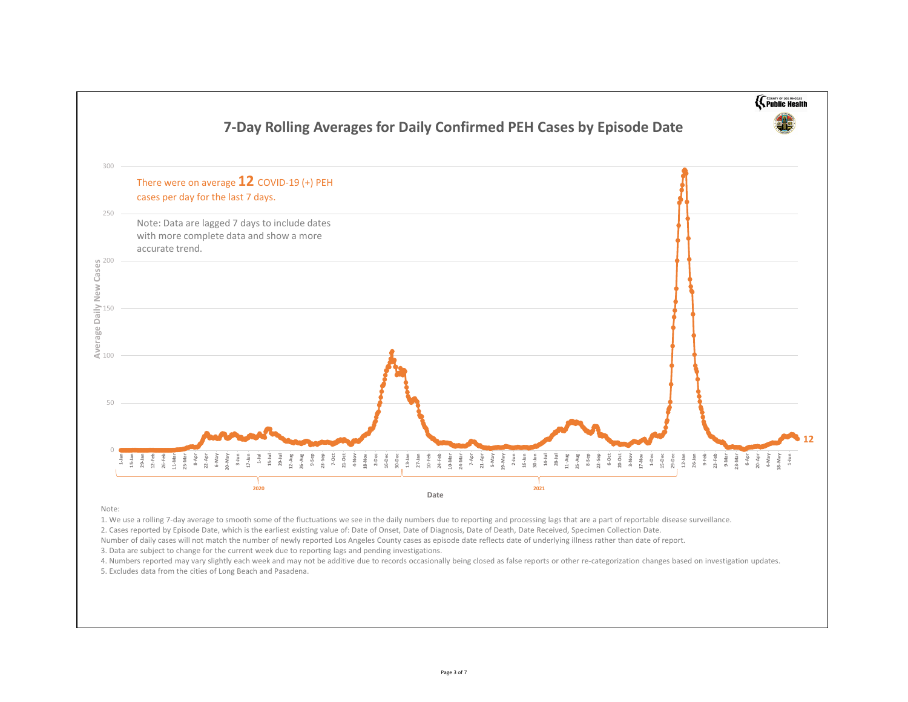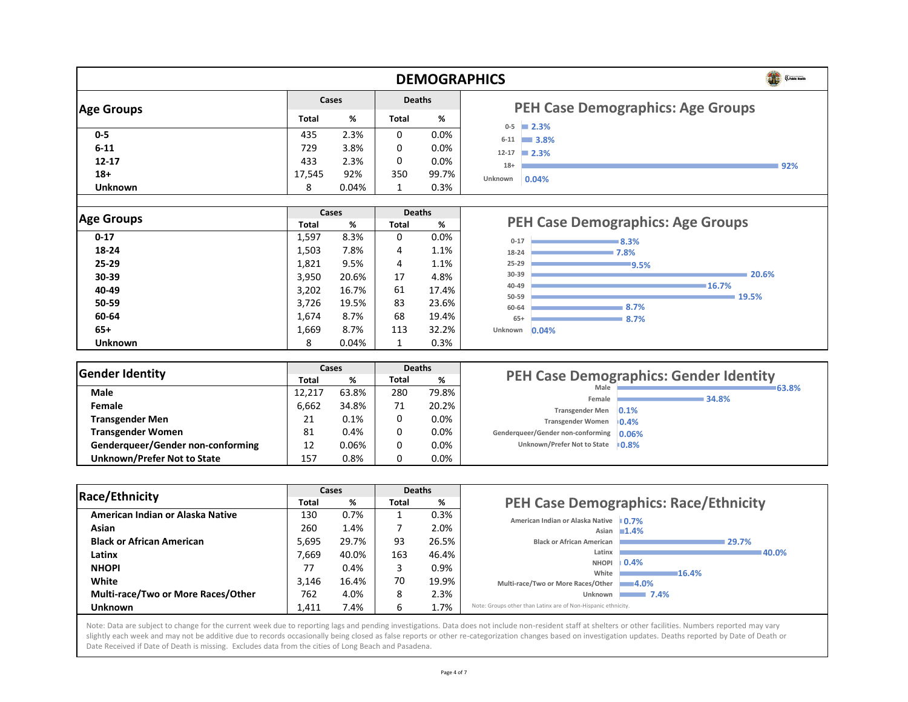|                   |              |              |                | <b>DEMOGRAF</b> |  |
|-------------------|--------------|--------------|----------------|-----------------|--|
| <b>Age Groups</b> |              | <b>Cases</b> |                | <b>Deaths</b>   |  |
|                   | <b>Total</b> | %            | <b>Total</b>   | %               |  |
| $0-5$             | 435          | 2.3%         | $\overline{O}$ | 0.0%            |  |
| $6 - 11$          | 729          | 3.8%         | $\overline{0}$ | 0.0%            |  |
| $12 - 17$         | 433          | 2.3%         | $\overline{0}$ | 0.0%            |  |
| $18+$             | 17,545       | 92%          | 350            | 99.7%           |  |
| <b>Unknown</b>    | 8            | 0.04%        |                | 0.3%            |  |

| <b>Age Groups</b> | <b>Cases</b> |       | <b>Deaths</b>  |       |  |
|-------------------|--------------|-------|----------------|-------|--|
|                   | <b>Total</b> | %     | <b>Total</b>   | %     |  |
| $0 - 17$          | 1,597        | 8.3%  | $\overline{0}$ | 0.0%  |  |
| 18-24             | 1,503        | 7.8%  | $\overline{4}$ | 1.1%  |  |
| $25 - 29$         | 1,821        | 9.5%  | $\overline{4}$ | 1.1%  |  |
| 30-39             | 3,950        | 20.6% | 17             | 4.8%  |  |
| 40-49             | 3,202        | 16.7% | 61             | 17.4% |  |
| 50-59             | 3,726        | 19.5% | 83             | 23.6% |  |
| 60-64             | 1,674        | 8.7%  | 68             | 19.4% |  |
| $65+$             | 1,669        | 8.7%  | 113            | 32.2% |  |
| Unknown           | 8            | 0.04% | 1              | 0.3%  |  |

| <b>Gender Identity</b>                   | <b>Cases</b> |       | <b>Deaths</b>  |         |
|------------------------------------------|--------------|-------|----------------|---------|
|                                          | <b>Total</b> | %     | <b>Total</b>   | %       |
| <b>Male</b>                              | 12,217       | 63.8% | 280            | 79.8%   |
| Female                                   | 6,662        | 34.8% | 71             | 20.2%   |
| <b>Transgender Men</b>                   | 21           | 0.1%  | $\overline{0}$ | $0.0\%$ |
| <b>Transgender Women</b>                 | 81           | 0.4%  | O              | 0.0%    |
| <b>Genderqueer/Gender non-conforming</b> | 12           | 0.06% | O              | 0.0%    |
| <b>Unknown/Prefer Not to State</b>       | 157          | 0.8%  | 0              | 0.0%    |

| <b>Race/Ethnicity</b>                     | Cases        |       | <b>Deaths</b> |       |              |
|-------------------------------------------|--------------|-------|---------------|-------|--------------|
|                                           | <b>Total</b> | %     | <b>Total</b>  | %     |              |
| American Indian or Alaska Native          | 130          | 0.7%  |               | 0.3%  |              |
| <b>Asian</b>                              | 260          | 1.4%  | 7             | 2.0%  |              |
| <b>Black or African American</b>          | 5,695        | 29.7% | 93            | 26.5% |              |
| Latinx                                    | 7,669        | 40.0% | 163           | 46.4% |              |
| <b>NHOPI</b>                              | 77           | 0.4%  | 3             | 0.9%  |              |
| <b>White</b>                              | 3,146        | 16.4% | 70            | 19.9% |              |
| <b>Multi-race/Two or More Races/Other</b> | 762          | 4.0%  | 8             | 2.3%  |              |
| <b>Unknown</b>                            | 1,411        | 7.4%  | 6             | 1.7%  | $\mathbb{R}$ |







Note: Data are subject to change for the current week due to reporting lags and pending investigations. Data does not include non-resident staff at shelters or other facilities. Numbers reported may vary slightly each week and may not be additive due to records occasionally being closed as false reports or other re-categorization changes based on investigation updates. Deaths reported by Date of Death or Date Received if Date of Death is missing. Excludes data from the cities of Long Beach and Pasadena.

**16.7%**

**19.5%**

**8.7%**

**8.7%**

**0.04% Unknown**

**40-49**

**50-59**

**60-64**

**65+**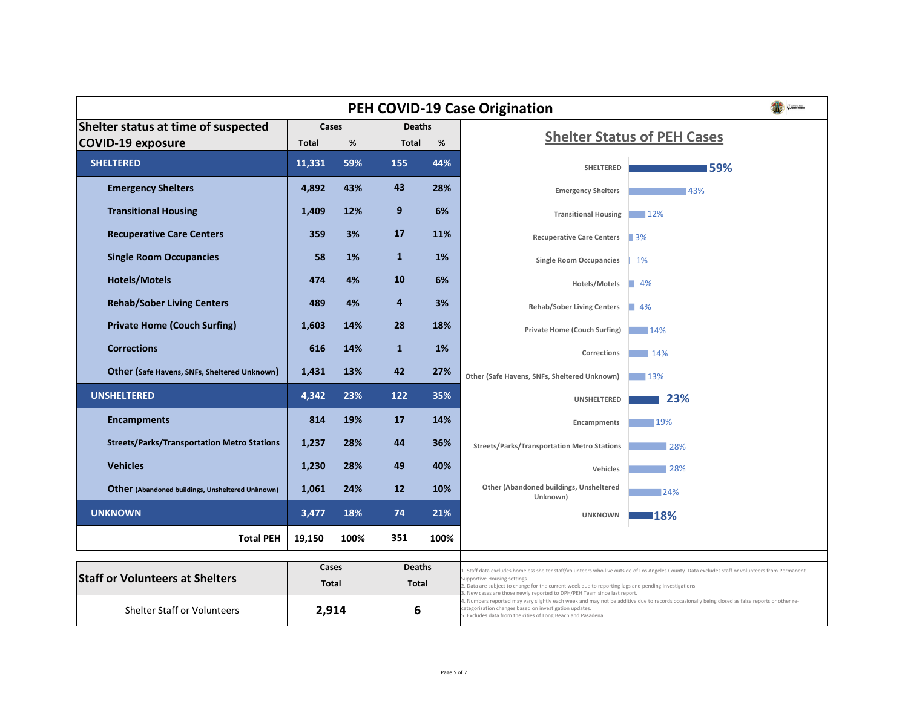|                                                         |                   |            | <b>PEH COVID-19 Case</b> |            |                                 |
|---------------------------------------------------------|-------------------|------------|--------------------------|------------|---------------------------------|
| <b>Shelter status at time of suspected</b>              | <b>Cases</b>      |            | <b>Deaths</b>            |            |                                 |
| <b>COVID-19 exposure</b>                                | %<br><b>Total</b> |            | %<br><b>Total</b>        |            |                                 |
| <b>SHELTERED</b>                                        | 11,331            | 59%        | <b>155</b>               | 44%        |                                 |
| <b>Emergency Shelters</b>                               | 4,892             | 43%        | 43                       | 28%        |                                 |
| <b>Transitional Housing</b>                             | 1,409             | 12%        | 9                        | 6%         |                                 |
| <b>Recuperative Care Centers</b>                        | 359               | 3%         | 17                       | <b>11%</b> |                                 |
| <b>Single Room Occupancies</b>                          | 58                | <b>1%</b>  | $\mathbf 1$              | <b>1%</b>  |                                 |
| <b>Hotels/Motels</b>                                    | 474               | 4%         | 10                       | 6%         |                                 |
| <b>Rehab/Sober Living Centers</b>                       | 489               | 4%         | $\overline{4}$           | 3%         |                                 |
| <b>Private Home (Couch Surfing)</b>                     | 1,603             | 14%        | 28                       | 18%        |                                 |
| <b>Corrections</b>                                      | 616               | 14%        | $\mathbf{1}$             | <b>1%</b>  |                                 |
| Other (Safe Havens, SNFs, Sheltered Unknown)            | 1,431             | 13%        | 42                       | 27%        | Ot                              |
| <b>UNSHELTERED</b>                                      | 4,342             | 23%        | 122                      | 35%        |                                 |
| <b>Encampments</b>                                      | 814               | 19%        | 17                       | 14%        |                                 |
| <b>Streets/Parks/Transportation Metro Stations</b>      | 1,237             | 28%        | 44                       | 36%        |                                 |
| <b>Vehicles</b>                                         | 1,230             | 28%        | 49                       | 40%        |                                 |
| <b>Other</b> (Abandoned buildings, Unsheltered Unknown) | 1,061             | 24%        | <b>12</b>                | 10%        |                                 |
| <b>UNKNOWN</b>                                          | 3,477             | <b>18%</b> | 74                       | 21%        |                                 |
| <b>Total PEH</b>                                        | 19,150            | 100%       | 351                      | 100%       |                                 |
|                                                         | <b>Cases</b>      |            | <b>Deaths</b>            |            |                                 |
| <b>Staff or Volunteers at Shelters</b>                  | <b>Total</b>      |            | <b>Total</b>             |            | 1. Sta<br>Supp<br>2.Da<br>3. Ne |
| <b>Shelter Staff or Volunteers</b>                      | 2,914             |            | 6                        |            | 4. Nu<br>categ<br>5. Ex         |
|                                                         |                   |            |                          |            |                                 |



aff data excludes homeless shelter staff/volunteers who live outside of Los Angeles County. Data excludes staff or volunteers from Permanent portive Housing settings.

ata are subject to change for the current week due to reporting lags and pending investigations.

ew cases are those newly reported to DPH/PEH Team since last report.

umbers reported may vary slightly each week and may not be additive due to records occasionally being closed as false reports or other regorization changes based on investigation updates.

xcludes data from the cities of Long Beach and Pasadena.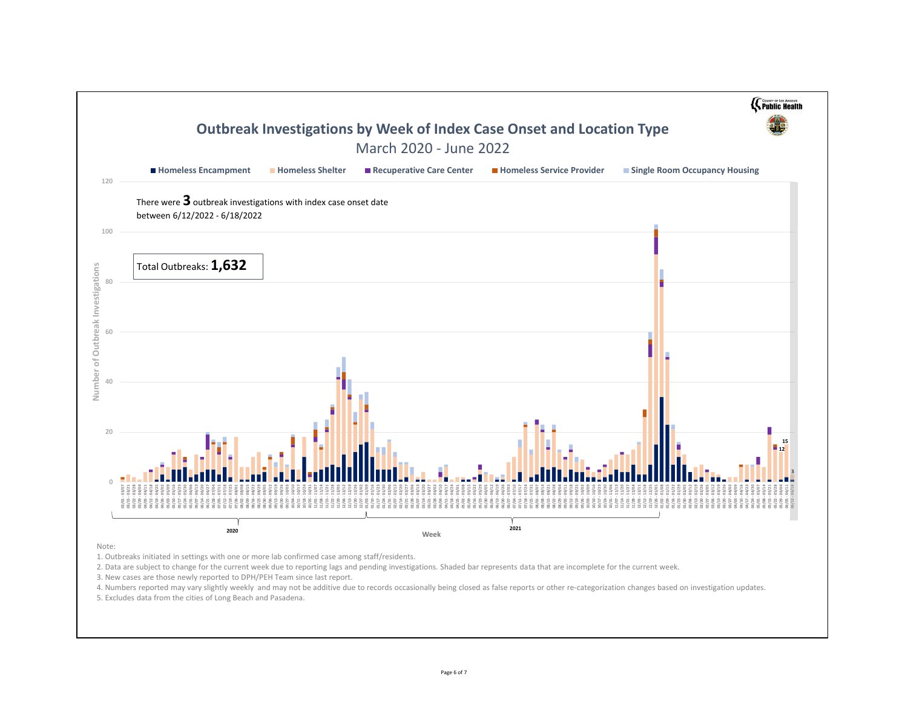

5. Excludes data from the cities of Long Beach and Pasadena.